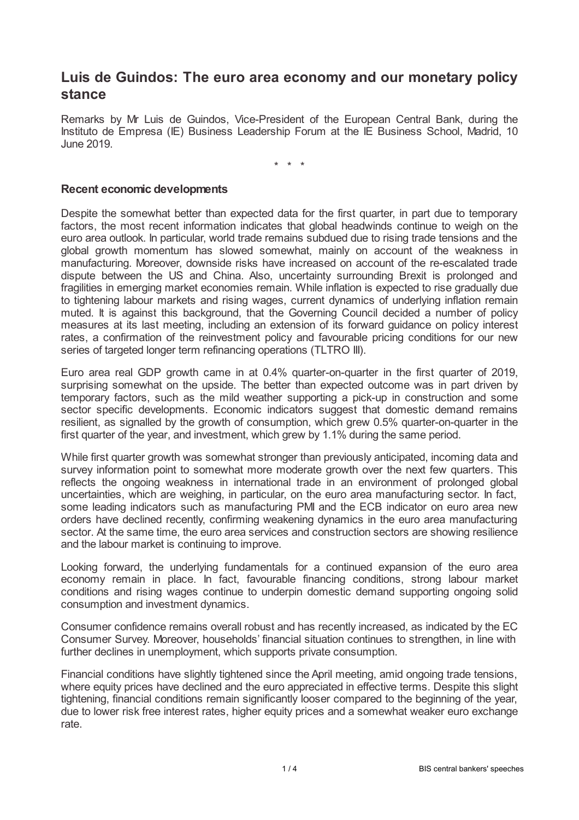## **Luis de Guindos: The euro area economy and our monetary policy stance**

Remarks by Mr Luis de Guindos, Vice-President of the European Central Bank, during the Instituto de Empresa (IE) Business Leadership Forum at the IE Business School, Madrid, 10 June 2019.

\* \* \*

## **Recent economic developments**

Despite the somewhat better than expected data for the first quarter, in part due to temporary factors, the most recent information indicates that global headwinds continue to weigh on the euro area outlook. In particular, world trade remains subdued due to rising trade tensions and the global growth momentum has slowed somewhat, mainly on account of the weakness in manufacturing. Moreover, downside risks have increased on account of the re-escalated trade dispute between the US and China. Also, uncertainty surrounding Brexit is prolonged and fragilities in emerging market economies remain. While inflation is expected to rise gradually due to tightening labour markets and rising wages, current dynamics of underlying inflation remain muted. It is against this background, that the Governing Council decided a number of policy measures at its last meeting, including an extension of its forward guidance on policy interest rates, a confirmation of the reinvestment policy and favourable pricing conditions for our new series of targeted longer term refinancing operations (TLTRO III).

Euro area real GDP growth came in at 0.4% quarter-on-quarter in the first quarter of 2019, surprising somewhat on the upside. The better than expected outcome was in part driven by temporary factors, such as the mild weather supporting a pick-up in construction and some sector specific developments. Economic indicators suggest that domestic demand remains resilient, as signalled by the growth of consumption, which grew 0.5% quarter-on-quarter in the first quarter of the year, and investment, which grew by 1.1% during the same period.

While first quarter growth was somewhat stronger than previously anticipated, incoming data and survey information point to somewhat more moderate growth over the next few quarters. This reflects the ongoing weakness in international trade in an environment of prolonged global uncertainties, which are weighing, in particular, on the euro area manufacturing sector. In fact, some leading indicators such as manufacturing PMI and the ECB indicator on euro area new orders have declined recently, confirming weakening dynamics in the euro area manufacturing sector. At the same time, the euro area services and construction sectors are showing resilience and the labour market is continuing to improve.

Looking forward, the underlying fundamentals for a continued expansion of the euro area economy remain in place. In fact, favourable financing conditions, strong labour market conditions and rising wages continue to underpin domestic demand supporting ongoing solid consumption and investment dynamics.

Consumer confidence remains overall robust and has recently increased, as indicated by the EC Consumer Survey. Moreover, households' financial situation continues to strengthen, in line with further declines in unemployment, which supports private consumption.

Financial conditions have slightly tightened since the April meeting, amid ongoing trade tensions, where equity prices have declined and the euro appreciated in effective terms. Despite this slight tightening, financial conditions remain significantly looser compared to the beginning of the year, due to lower risk free interest rates, higher equity prices and a somewhat weaker euro exchange rate.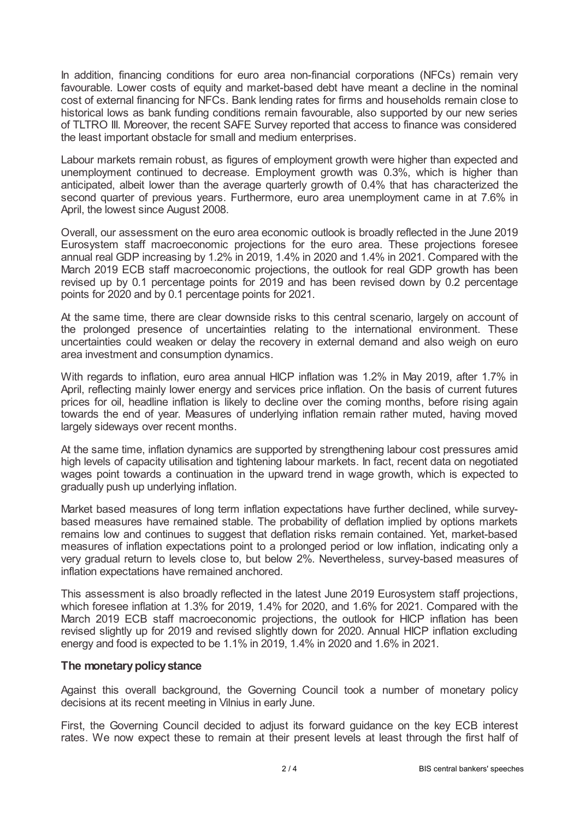In addition, financing conditions for euro area non-financial corporations (NFCs) remain very favourable. Lower costs of equity and market-based debt have meant a decline in the nominal cost of external financing for NFCs. Bank lending rates for firms and households remain close to historical lows as bank funding conditions remain favourable, also supported by our new series of TLTRO III. Moreover, the recent SAFE Survey reported that access to finance was considered the least important obstacle for small and medium enterprises.

Labour markets remain robust, as figures of employment growth were higher than expected and unemployment continued to decrease. Employment growth was 0.3%, which is higher than anticipated, albeit lower than the average quarterly growth of 0.4% that has characterized the second quarter of previous years. Furthermore, euro area unemployment came in at 7.6% in April, the lowest since August 2008.

Overall, our assessment on the euro area economic outlook is broadly reflected in the June 2019 Eurosystem staff macroeconomic projections for the euro area. These projections foresee annual real GDP increasing by 1.2% in 2019, 1.4% in 2020 and 1.4% in 2021. Compared with the March 2019 ECB staff macroeconomic projections, the outlook for real GDP growth has been revised up by 0.1 percentage points for 2019 and has been revised down by 0.2 percentage points for 2020 and by 0.1 percentage points for 2021.

At the same time, there are clear downside risks to this central scenario, largely on account of the prolonged presence of uncertainties relating to the international environment. These uncertainties could weaken or delay the recovery in external demand and also weigh on euro area investment and consumption dynamics.

With regards to inflation, euro area annual HICP inflation was 1.2% in May 2019, after 1.7% in April, reflecting mainly lower energy and services price inflation. On the basis of current futures prices for oil, headline inflation is likely to decline over the coming months, before rising again towards the end of year. Measures of underlying inflation remain rather muted, having moved largely sideways over recent months.

At the same time, inflation dynamics are supported by strengthening labour cost pressures amid high levels of capacity utilisation and tightening labour markets. In fact, recent data on negotiated wages point towards a continuation in the upward trend in wage growth, which is expected to gradually push up underlying inflation.

Market based measures of long term inflation expectations have further declined, while surveybased measures have remained stable. The probability of deflation implied by options markets remains low and continues to suggest that deflation risks remain contained. Yet, market-based measures of inflation expectations point to a prolonged period or low inflation, indicating only a very gradual return to levels close to, but below 2%. Nevertheless, survey-based measures of inflation expectations have remained anchored.

This assessment is also broadly reflected in the latest June 2019 Eurosystem staff projections, which foresee inflation at 1.3% for 2019, 1.4% for 2020, and 1.6% for 2021. Compared with the March 2019 ECB staff macroeconomic projections, the outlook for HICP inflation has been revised slightly up for 2019 and revised slightly down for 2020. Annual HICP inflation excluding energy and food is expected to be 1.1% in 2019, 1.4% in 2020 and 1.6% in 2021.

## **The monetarypolicystance**

Against this overall background, the Governing Council took a number of monetary policy decisions at its recent meeting in Vilnius in early June.

First, the Governing Council decided to adjust its forward guidance on the key ECB interest rates. We now expect these to remain at their present levels at least through the first half of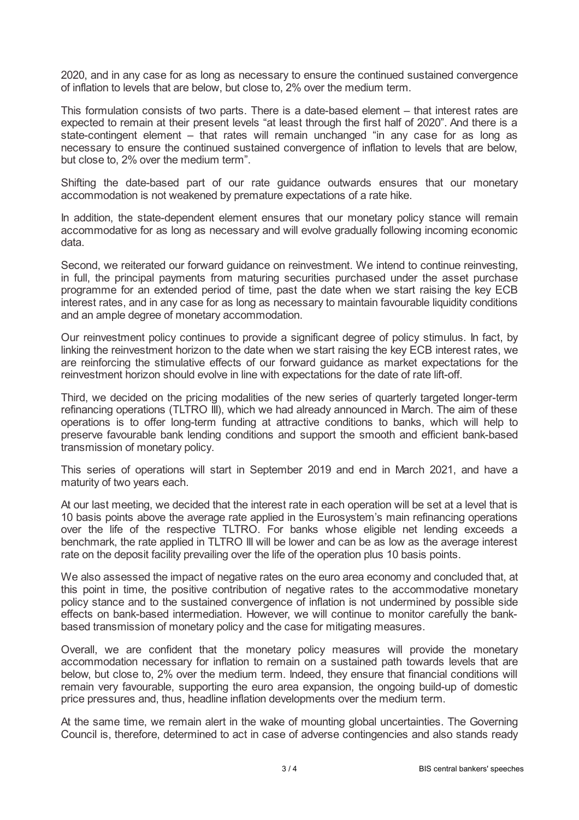2020, and in any case for as long as necessary to ensure the continued sustained convergence of inflation to levels that are below, but close to, 2% over the medium term.

This formulation consists of two parts. There is a date-based element – that interest rates are expected to remain at their present levels "at least through the first half of 2020". And there is a state-contingent element – that rates will remain unchanged "in any case for as long as necessary to ensure the continued sustained convergence of inflation to levels that are below, but close to, 2% over the medium term".

Shifting the date-based part of our rate guidance outwards ensures that our monetary accommodation is not weakened by premature expectations of a rate hike.

In addition, the state-dependent element ensures that our monetary policy stance will remain accommodative for as long as necessary and will evolve gradually following incoming economic data.

Second, we reiterated our forward guidance on reinvestment. We intend to continue reinvesting, in full, the principal payments from maturing securities purchased under the asset purchase programme for an extended period of time, past the date when we start raising the key ECB interest rates, and in any case for as long as necessary to maintain favourable liquidity conditions and an ample degree of monetary accommodation.

Our reinvestment policy continues to provide a significant degree of policy stimulus. In fact, by linking the reinvestment horizon to the date when we start raising the key ECB interest rates, we are reinforcing the stimulative effects of our forward guidance as market expectations for the reinvestment horizon should evolve in line with expectations for the date of rate lift-off.

Third, we decided on the pricing modalities of the new series of quarterly targeted longer-term refinancing operations (TLTRO III), which we had already announced in March. The aim of these operations is to offer long-term funding at attractive conditions to banks, which will help to preserve favourable bank lending conditions and support the smooth and efficient bank-based transmission of monetary policy.

This series of operations will start in September 2019 and end in March 2021, and have a maturity of two years each.

At our last meeting, we decided that the interest rate in each operation will be set at a level that is 10 basis points above the average rate applied in the Eurosystem's main refinancing operations over the life of the respective TLTRO. For banks whose eligible net lending exceeds a benchmark, the rate applied in TLTRO III will be lower and can be as low as the average interest rate on the deposit facility prevailing over the life of the operation plus 10 basis points.

We also assessed the impact of negative rates on the euro area economy and concluded that, at this point in time, the positive contribution of negative rates to the accommodative monetary policy stance and to the sustained convergence of inflation is not undermined by possible side effects on bank-based intermediation. However, we will continue to monitor carefully the bankbased transmission of monetary policy and the case for mitigating measures.

Overall, we are confident that the monetary policy measures will provide the monetary accommodation necessary for inflation to remain on a sustained path towards levels that are below, but close to, 2% over the medium term. Indeed, they ensure that financial conditions will remain very favourable, supporting the euro area expansion, the ongoing build-up of domestic price pressures and, thus, headline inflation developments over the medium term.

At the same time, we remain alert in the wake of mounting global uncertainties. The Governing Council is, therefore, determined to act in case of adverse contingencies and also stands ready